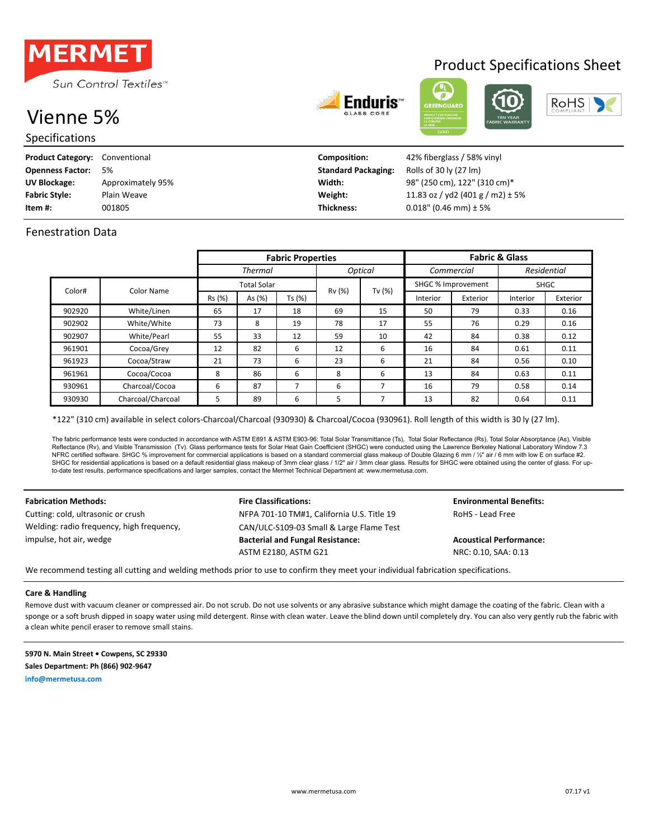

# Vienne 5%

Specifications

| <b>Enduris</b> ' |
|------------------|
|                  |





Product Specifications Sheet

| <b>Product Category:</b> | Conventional      | <b>Composition:</b>        | 42% fiberglass / 58% vinyl           |
|--------------------------|-------------------|----------------------------|--------------------------------------|
| <b>Openness Factor:</b>  | 5%                | <b>Standard Packaging:</b> | Rolls of 30 ly (27 lm)               |
| UV Blockage:             | Approximately 95% | Width:                     | 98" (250 cm), 122" (310 cm)*         |
| <b>Fabric Style:</b>     | Plain Weave       | Weight:                    | 11.83 oz / yd2 (401 g / m2) $\pm$ 5% |
| Item #:                  | 001805            | <b>Thickness:</b>          | $0.018$ " (0.46 mm) ± 5%             |

## Fenestration Data

|                      |                    | <b>Fabric Properties</b>         |        |        |        | <b>Fabric &amp; Glass</b> |            |             |          |          |
|----------------------|--------------------|----------------------------------|--------|--------|--------|---------------------------|------------|-------------|----------|----------|
|                      |                    | <b>Optical</b><br><b>Thermal</b> |        |        |        |                           | Commercial | Residential |          |          |
| Color#<br>Color Name | <b>Total Solar</b> |                                  |        |        |        | SHGC % Improvement        |            | <b>SHGC</b> |          |          |
|                      |                    | Rs (%)                           | As (%) | Ts (%) | Rv (%) | Tv $(%)$                  | Interior   | Exterior    | Interior | Exterior |
| 902920               | White/Linen        | 65                               | 17     | 18     | 69     | 15                        | 50         | 79          | 0.33     | 0.16     |
| 902902               | White/White        | 73                               | 8      | 19     | 78     | 17                        | 55         | 76          | 0.29     | 0.16     |
| 902907               | White/Pearl        | 55                               | 33     | 12     | 59     | 10                        | 42         | 84          | 0.38     | 0.12     |
| 961901               | Cocoa/Grey         | 12                               | 82     | 6      | 12     | 6                         | 16         | 84          | 0.61     | 0.11     |
| 961923               | Cocoa/Straw        | 21                               | 73     | 6      | 23     | 6                         | 21         | 84          | 0.56     | 0.10     |
| 961961               | Cocoa/Cocoa        | 8                                | 86     | 6      | 8      | 6                         | 13         | 84          | 0.63     | 0.11     |
| 930961               | Charcoal/Cocoa     | 6                                | 87     | 7      | 6      | 7                         | 16         | 79          | 0.58     | 0.14     |
| 930930               | Charcoal/Charcoal  | 5                                | 89     | 6      | 5      |                           | 13         | 82          | 0.64     | 0.11     |

\*122" (310 cm) available in select colors-Charcoal/Charcoal (930930) & Charcoal/Cocoa (930961). Roll length of this width is 30 ly (27 lm).

The fabric performance tests were conducted in accordance with ASTM E801 & ASTM E903-96: Total Solar Transmittance (Ts), Total Solar Reflectance (Rs), Total Solar Absorptance (As), Visible Reflectance (Rv), and Visible Transmission (Tv). Glass performance tests for Solar Heat Gain Coefficient (SHGC) were conducted using the Lawrence Berkeley National Laboratory Window 7.3 NFRC certified software. SHGC % improvement for commercial applications is based on a standard commercial glass makeup of Double Glazing 6 mm / ½" air / 6 mm with low E on surface #2. SHGC for residential applications is based on a default residential glass makeup of 3mm clear glass / 1/2" air / 3mm clear glass. Results for SHGC were obtained using the center of glass. For upto-date test results, performance specifications and larger samples, contact the Mermet Technical Department at: www.mermetusa.com.

Welding: radio frequency, high frequency, impulse, hot air, wedge

## **Fabrication Methods: Fire Classifications: Fire Classifications: Environmental Benefits:** Cutting: cold, ultrasonic or crush The MEPA 701-10 TM#1, California U.S. Title 19 RoHS - Lead Free CAN/ULC-S109-03 Small & Large Flame Test **Bacterial and Fungal Resistance: Acoustical Performance:**

ASTM E2180, ASTM G21 NRC: 0.10, SAA: 0.13

We recommend testing all cutting and welding methods prior to use to confirm they meet your individual fabrication specifications.

### **Care & Handling**

Remove dust with vacuum cleaner or compressed air. Do not scrub. Do not use solvents or any abrasive substance which might damage the coating of the fabric. Clean with a sponge or a soft brush dipped in soapy water using mild detergent. Rinse with clean water. Leave the blind down until completely dry. You can also very gently rub the fabric with a clean white pencil eraser to remove small stains.

**5970 N. Main Street • Cowpens, SC 29330 Sales Department: Ph (866) 902-9647 info@mermetusa.com**